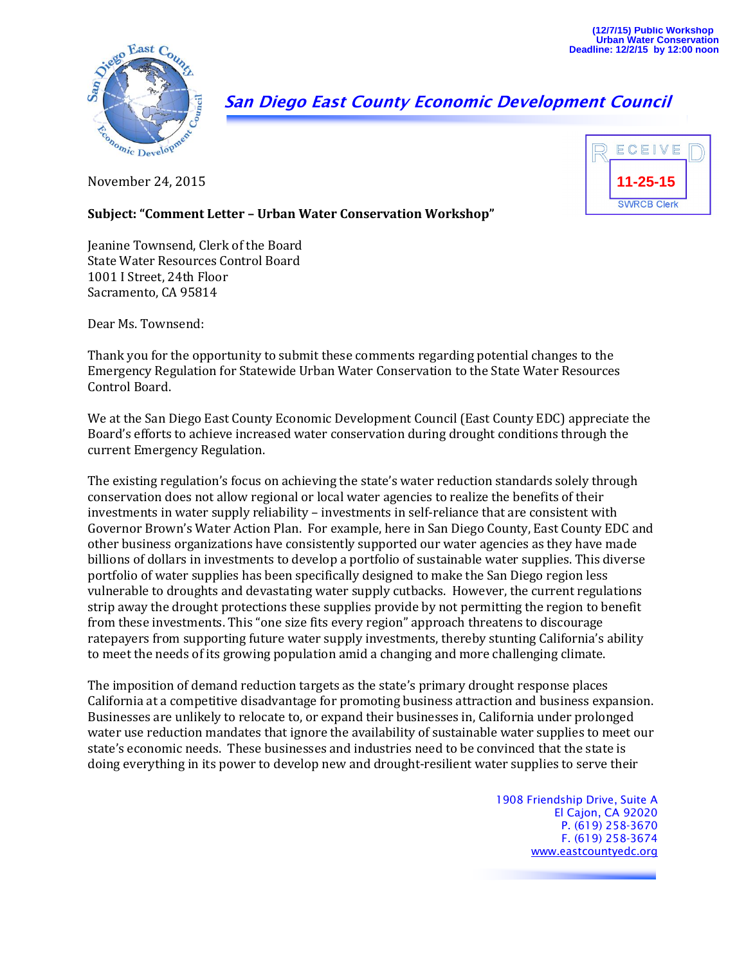

## **San Diego East County Economic Development Council**

November 24, 2015



## **Subject: "Comment Letter – Urban Water Conservation Workshop"**

Jeanine Townsend, Clerk of the Board State Water Resources Control Board 1001 I Street, 24th Floor Sacramento, CA 95814

Dear Ms. Townsend:

Thank you for the opportunity to submit these comments regarding potential changes to the Emergency Regulation for Statewide Urban Water Conservation to the State Water Resources Control Board.

We at the San Diego East County Economic Development Council (East County EDC) appreciate the Board's efforts to achieve increased water conservation during drought conditions through the current Emergency Regulation.

The existing regulation's focus on achieving the state's water reduction standards solely through conservation does not allow regional or local water agencies to realize the benefits of their investments in water supply reliability – investments in self-reliance that are consistent with Governor Brown's Water Action Plan. For example, here in San Diego County, East County EDC and other business organizations have consistently supported our water agencies as they have made billions of dollars in investments to develop a portfolio of sustainable water supplies. This diverse portfolio of water supplies has been specifically designed to make the San Diego region less vulnerable to droughts and devastating water supply cutbacks. However, the current regulations strip away the drought protections these supplies provide by not permitting the region to benefit from these investments. This "one size fits every region" approach threatens to discourage ratepayers from supporting future water supply investments, thereby stunting California's ability to meet the needs of its growing population amid a changing and more challenging climate.

The imposition of demand reduction targets as the state's primary drought response places California at a competitive disadvantage for promoting business attraction and business expansion. Businesses are unlikely to relocate to, or expand their businesses in, California under prolonged water use reduction mandates that ignore the availability of sustainable water supplies to meet our state's economic needs. These businesses and industries need to be convinced that the state is doing everything in its power to develop new and drought-resilient water supplies to serve their

> 1908 Friendship Drive, Suite A El Cajon, CA 92020 P. (619) 258-3670 F. (619) 258-3674 [www.eastcountyedc.org](http://www.eastcountyedc.org/)